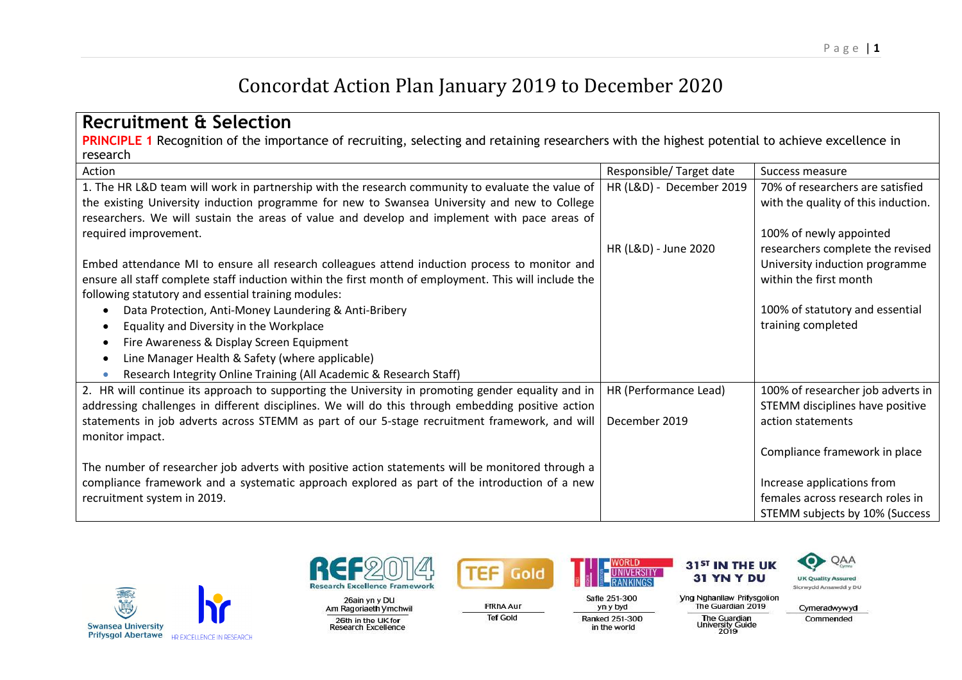## Concordat Action Plan January 2019 to December 2020

| <b>Recruitment &amp; Selection</b>                                                                                                                      |                          |                                                                |
|---------------------------------------------------------------------------------------------------------------------------------------------------------|--------------------------|----------------------------------------------------------------|
| <b>PRINCIPLE 1</b> Recognition of the importance of recruiting, selecting and retaining researchers with the highest potential to achieve excellence in |                          |                                                                |
| research                                                                                                                                                |                          |                                                                |
| Action                                                                                                                                                  | Responsible/Target date  | Success measure                                                |
| 1. The HR L&D team will work in partnership with the research community to evaluate the value of                                                        | HR (L&D) - December 2019 | 70% of researchers are satisfied                               |
| the existing University induction programme for new to Swansea University and new to College                                                            |                          | with the quality of this induction.                            |
| researchers. We will sustain the areas of value and develop and implement with pace areas of                                                            |                          |                                                                |
| required improvement.                                                                                                                                   |                          | 100% of newly appointed                                        |
|                                                                                                                                                         | HR (L&D) - June 2020     | researchers complete the revised                               |
| Embed attendance MI to ensure all research colleagues attend induction process to monitor and                                                           |                          | University induction programme                                 |
| ensure all staff complete staff induction within the first month of employment. This will include the                                                   |                          | within the first month                                         |
| following statutory and essential training modules:                                                                                                     |                          |                                                                |
| Data Protection, Anti-Money Laundering & Anti-Bribery<br>$\bullet$                                                                                      |                          | 100% of statutory and essential                                |
| Equality and Diversity in the Workplace<br>٠                                                                                                            |                          | training completed                                             |
| Fire Awareness & Display Screen Equipment<br>٠                                                                                                          |                          |                                                                |
| Line Manager Health & Safety (where applicable)<br>٠                                                                                                    |                          |                                                                |
| Research Integrity Online Training (All Academic & Research Staff)                                                                                      |                          |                                                                |
| 2. HR will continue its approach to supporting the University in promoting gender equality and in                                                       | HR (Performance Lead)    | 100% of researcher job adverts in                              |
| addressing challenges in different disciplines. We will do this through embedding positive action                                                       |                          | STEMM disciplines have positive                                |
| statements in job adverts across STEMM as part of our 5-stage recruitment framework, and will                                                           | December 2019            | action statements                                              |
| monitor impact.                                                                                                                                         |                          |                                                                |
|                                                                                                                                                         |                          | Compliance framework in place                                  |
| The number of researcher job adverts with positive action statements will be monitored through a                                                        |                          |                                                                |
| compliance framework and a systematic approach explored as part of the introduction of a new<br>recruitment system in 2019.                             |                          | Increase applications from<br>females across research roles in |
|                                                                                                                                                         |                          | STEMM subjects by 10% (Success                                 |
|                                                                                                                                                         |                          |                                                                |





26ain yn y DU Am Ragoriaeth Ymchwil 26th in the UK for<br>Research Excellence



**FfRhAAur** 

**Tef Gold** 

**NIVERSITY** 

yn y byd

Ranked 251-300

in the world

Safle 251-300

**Yng Nghanllaw Prifysgolion** The Guardian 2019

The Guardian<br>University Guide<br>2019

31<sup>ST</sup> IN THE UK

31 YN Y DU



О

Commended

**UK Quality Assured**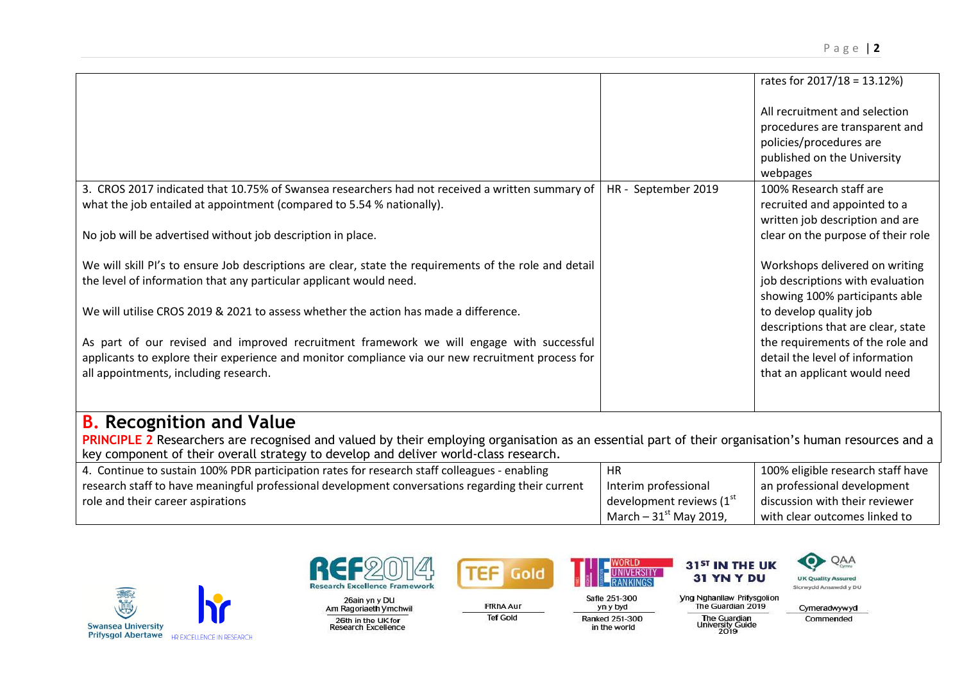|                                                                                                        |                     | rates for $2017/18 = 13.12\%$      |
|--------------------------------------------------------------------------------------------------------|---------------------|------------------------------------|
|                                                                                                        |                     | All recruitment and selection      |
|                                                                                                        |                     | procedures are transparent and     |
|                                                                                                        |                     | policies/procedures are            |
|                                                                                                        |                     | published on the University        |
|                                                                                                        |                     | webpages                           |
| 3. CROS 2017 indicated that 10.75% of Swansea researchers had not received a written summary of        | HR - September 2019 | 100% Research staff are            |
| what the job entailed at appointment (compared to 5.54 % nationally).                                  |                     | recruited and appointed to a       |
|                                                                                                        |                     | written job description and are    |
| No job will be advertised without job description in place.                                            |                     | clear on the purpose of their role |
|                                                                                                        |                     |                                    |
| We will skill PI's to ensure Job descriptions are clear, state the requirements of the role and detail |                     | Workshops delivered on writing     |
| the level of information that any particular applicant would need.                                     |                     | job descriptions with evaluation   |
|                                                                                                        |                     | showing 100% participants able     |
| We will utilise CROS 2019 & 2021 to assess whether the action has made a difference.                   |                     | to develop quality job             |
|                                                                                                        |                     | descriptions that are clear, state |
| As part of our revised and improved recruitment framework we will engage with successful               |                     | the requirements of the role and   |
| applicants to explore their experience and monitor compliance via our new recruitment process for      |                     | detail the level of information    |
| all appointments, including research.                                                                  |                     | that an applicant would need       |
|                                                                                                        |                     |                                    |
|                                                                                                        |                     |                                    |

## **B. Recognition and Value**

PRINCIPLE 2 Researchers are recognised and valued by their employing organisation as an essential part of their organisation's human resources and a key component of their overall strategy to develop and deliver world-class research.

| 4. Continue to sustain 100% PDR participation rates for research staff colleagues - enabling     | HR                       | 100% eligible research staff have |
|--------------------------------------------------------------------------------------------------|--------------------------|-----------------------------------|
| research staff to have meaningful professional development conversations regarding their current | Interim professional     | an professional development       |
| role and their career aspirations                                                                | development reviews (1st | discussion with their reviewer    |
|                                                                                                  | March $-31st$ May 2019,  | with clear outcomes linked to     |





26ain yn y DU Am Ragoriaeth Ymchwil 26th in the UK for<br>Research Excellence



**FfRhAAur** 

**Tef Gold** 

yn y byd

Ranked 251-300

in the world

Safle 251-300



| <b>Nahanllaw Prifysgolion</b>                          |            |
|--------------------------------------------------------|------------|
| The Guardian 2019                                      | <b>Cym</b> |
| <b>The Guardian</b><br><b>University Guide</b><br>2019 | Cor        |

eradwywyd Commended

UK Quality Assured

Sicrwydd Ansawdd y DU

r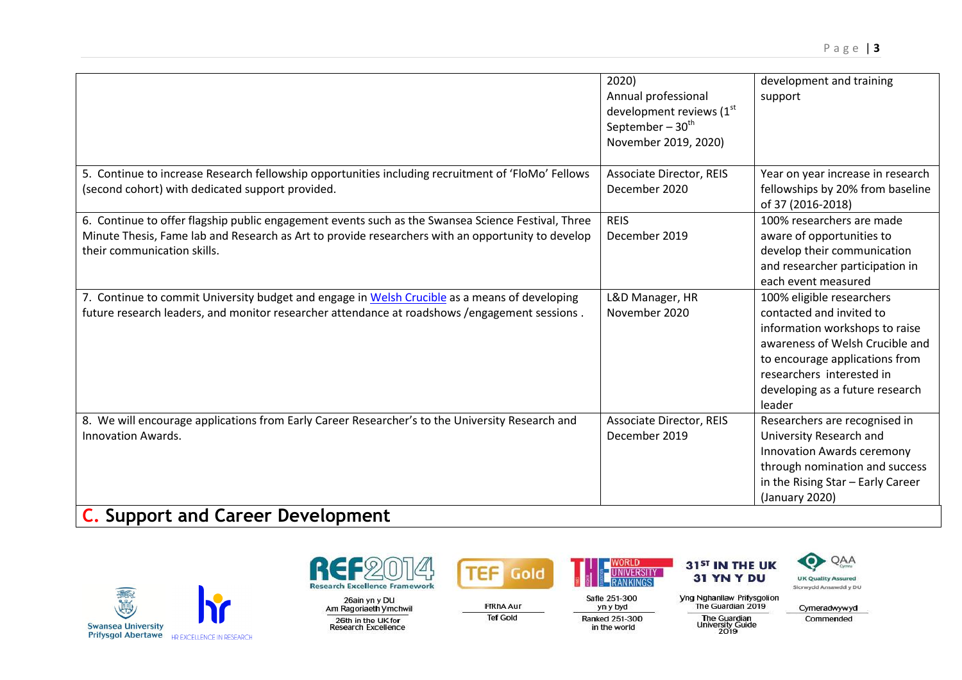|                                                                                                                                                                                                                                        | 2020)<br>Annual professional<br>development reviews (1st<br>September $-30th$<br>November 2019, 2020) | development and training<br>support                                                                                                                                                                                                    |
|----------------------------------------------------------------------------------------------------------------------------------------------------------------------------------------------------------------------------------------|-------------------------------------------------------------------------------------------------------|----------------------------------------------------------------------------------------------------------------------------------------------------------------------------------------------------------------------------------------|
| 5. Continue to increase Research fellowship opportunities including recruitment of 'FloMo' Fellows<br>(second cohort) with dedicated support provided.                                                                                 | <b>Associate Director, REIS</b><br>December 2020                                                      | Year on year increase in research<br>fellowships by 20% from baseline<br>of 37 (2016-2018)                                                                                                                                             |
| 6. Continue to offer flagship public engagement events such as the Swansea Science Festival, Three<br>Minute Thesis, Fame lab and Research as Art to provide researchers with an opportunity to develop<br>their communication skills. | <b>REIS</b><br>December 2019                                                                          | 100% researchers are made<br>aware of opportunities to<br>develop their communication<br>and researcher participation in<br>each event measured                                                                                        |
| 7. Continue to commit University budget and engage in Welsh Crucible as a means of developing<br>future research leaders, and monitor researcher attendance at roadshows / engagement sessions.                                        | L&D Manager, HR<br>November 2020                                                                      | 100% eligible researchers<br>contacted and invited to<br>information workshops to raise<br>awareness of Welsh Crucible and<br>to encourage applications from<br>researchers interested in<br>developing as a future research<br>leader |
| 8. We will encourage applications from Early Career Researcher's to the University Research and<br><b>Innovation Awards.</b>                                                                                                           | <b>Associate Director, REIS</b><br>December 2019                                                      | Researchers are recognised in<br>University Research and<br><b>Innovation Awards ceremony</b><br>through nomination and success<br>in the Rising Star - Early Career<br>(January 2020)                                                 |
| <b>C.</b> Support and Career Development                                                                                                                                                                                               |                                                                                                       |                                                                                                                                                                                                                                        |





26ain yn y DU<br>Am Ragoriaeth Ymchwil 26th in the UK for<br>Research Excellence



**TEF** 

**FfRhAAur** 

**Tef Gold** 

31<sup>ST</sup> IN THE UK **JNIVERSITY** 

**Yng Nghanllaw Prifysgolion<br>The Guardian 2019** Safle 251-300 yn y byd Ranked 251-300

in the world

The Guardian<br>University Guide<br>2019

31 YN Y DU



Cymeradwywyd

Commended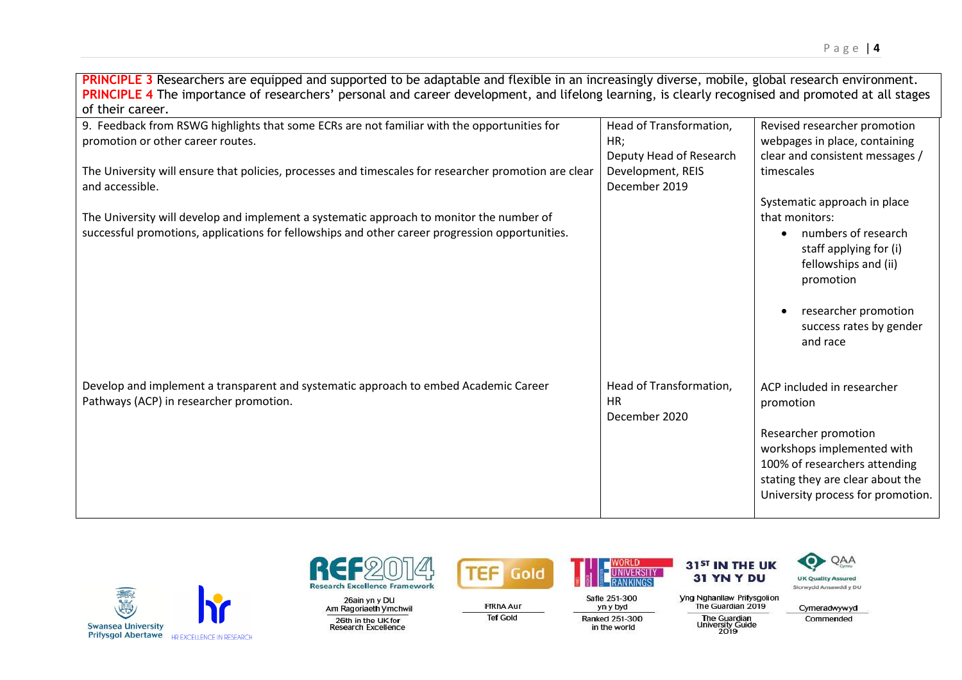**PRINCIPLE 3** Researchers are equipped and supported to be adaptable and flexible in an increasingly diverse, mobile, global research environment. PRINCIPLE 4 The importance of researchers' personal and career development, and lifelong learning, is clearly recognised and promoted at all stages of their career.

| 9. Feedback from RSWG highlights that some ECRs are not familiar with the opportunities for           | Head of Transformation,    | Revised researcher promotion                                                                                            |
|-------------------------------------------------------------------------------------------------------|----------------------------|-------------------------------------------------------------------------------------------------------------------------|
| promotion or other career routes.                                                                     | HR;                        | webpages in place, containing                                                                                           |
|                                                                                                       | Deputy Head of Research    | clear and consistent messages /                                                                                         |
| The University will ensure that policies, processes and timescales for researcher promotion are clear | Development, REIS          | timescales                                                                                                              |
| and accessible.                                                                                       | December 2019              |                                                                                                                         |
|                                                                                                       |                            | Systematic approach in place                                                                                            |
| The University will develop and implement a systematic approach to monitor the number of              |                            | that monitors:                                                                                                          |
| successful promotions, applications for fellowships and other career progression opportunities.       |                            | numbers of research<br>staff applying for (i)<br>fellowships and (ii)<br>promotion<br>researcher promotion<br>$\bullet$ |
|                                                                                                       |                            | success rates by gender<br>and race                                                                                     |
| Develop and implement a transparent and systematic approach to embed Academic Career                  | Head of Transformation,    | ACP included in researcher                                                                                              |
| Pathways (ACP) in researcher promotion.                                                               | <b>HR</b><br>December 2020 | promotion                                                                                                               |
|                                                                                                       |                            | Researcher promotion                                                                                                    |
|                                                                                                       |                            | workshops implemented with                                                                                              |
|                                                                                                       |                            | 100% of researchers attending                                                                                           |
|                                                                                                       |                            | stating they are clear about the<br>University process for promotion.                                                   |
|                                                                                                       |                            |                                                                                                                         |





26ain yn y DU Am Ragoriaeth Ymchwil 26th in the UK for<br>Research Excellence



**FfRhAAur** 

**Tef Gold** 

Safle 251-300

yn y byd

Ranked 251-300

in the world

31<sup>ST</sup> IN THE UK 31 YN Y DU



| тийнаннам снихайлтын<br>The Guardian 2019              |  |
|--------------------------------------------------------|--|
| <b>The Guardian</b><br><b>University Guide</b><br>2019 |  |

Cymeradwywyd Commended

UK Quality Assured

О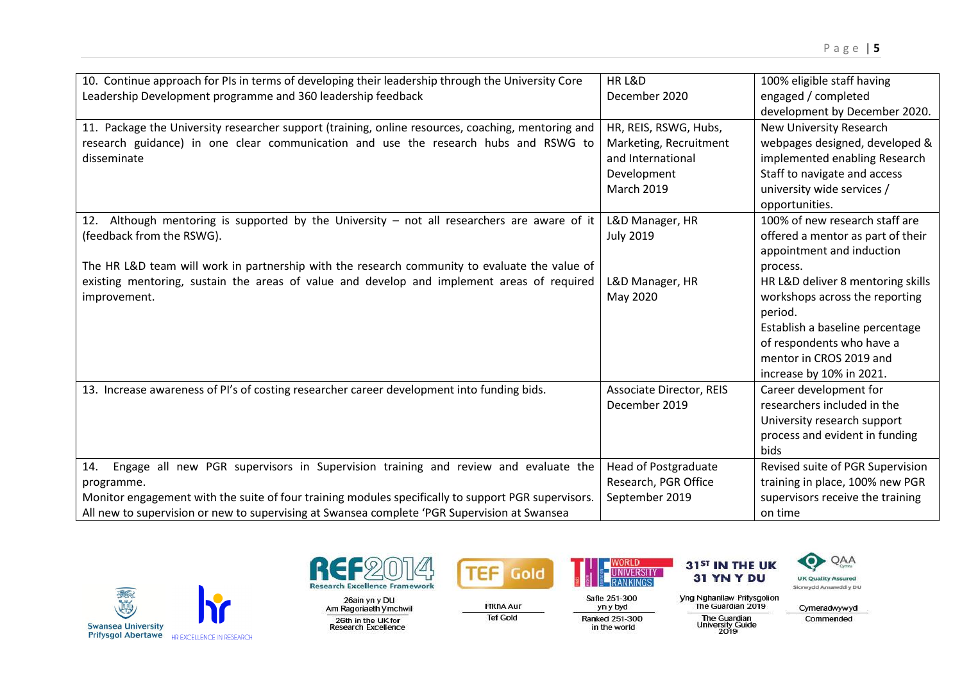| 10. Continue approach for PIs in terms of developing their leadership through the University Core   | HR L&D                          | 100% eligible staff having        |
|-----------------------------------------------------------------------------------------------------|---------------------------------|-----------------------------------|
| Leadership Development programme and 360 leadership feedback                                        | December 2020                   | engaged / completed               |
|                                                                                                     |                                 | development by December 2020.     |
| 11. Package the University researcher support (training, online resources, coaching, mentoring and  | HR, REIS, RSWG, Hubs,           | New University Research           |
| research guidance) in one clear communication and use the research hubs and RSWG to                 | Marketing, Recruitment          | webpages designed, developed &    |
| disseminate                                                                                         | and International               | implemented enabling Research     |
|                                                                                                     | Development                     | Staff to navigate and access      |
|                                                                                                     | <b>March 2019</b>               | university wide services /        |
|                                                                                                     |                                 | opportunities.                    |
| 12. Although mentoring is supported by the University – not all researchers are aware of it         | L&D Manager, HR                 | 100% of new research staff are    |
| (feedback from the RSWG).                                                                           | <b>July 2019</b>                | offered a mentor as part of their |
|                                                                                                     |                                 | appointment and induction         |
| The HR L&D team will work in partnership with the research community to evaluate the value of       |                                 | process.                          |
| existing mentoring, sustain the areas of value and develop and implement areas of required          | L&D Manager, HR                 | HR L&D deliver 8 mentoring skills |
| improvement.                                                                                        | May 2020                        | workshops across the reporting    |
|                                                                                                     |                                 | period.                           |
|                                                                                                     |                                 | Establish a baseline percentage   |
|                                                                                                     |                                 | of respondents who have a         |
|                                                                                                     |                                 | mentor in CROS 2019 and           |
|                                                                                                     |                                 | increase by 10% in 2021.          |
| 13. Increase awareness of PI's of costing researcher career development into funding bids.          | <b>Associate Director, REIS</b> | Career development for            |
|                                                                                                     | December 2019                   | researchers included in the       |
|                                                                                                     |                                 | University research support       |
|                                                                                                     |                                 | process and evident in funding    |
|                                                                                                     |                                 | bids                              |
| Engage all new PGR supervisors in Supervision training and review and evaluate the<br>14.           | <b>Head of Postgraduate</b>     | Revised suite of PGR Supervision  |
| programme.                                                                                          | Research, PGR Office            | training in place, 100% new PGR   |
| Monitor engagement with the suite of four training modules specifically to support PGR supervisors. | September 2019                  | supervisors receive the training  |
| All new to supervision or new to supervising at Swansea complete 'PGR Supervision at Swansea        |                                 | on time                           |





26ain yn y DU<br>Am Ragoriaeth Ymchwil 26th in the UK for<br>Research Excellence



**FfRhAAur** 

**Tef Gold** 

**UNIVERSITY** 

in the world

**Yng Nghanllaw Prifysgolion<br>The Guardian 2019** 

Safle 251-300 yn y byd Ranked 251-300

The Guardian<br>University Guide<br>2019

31 YN Y DU



Cymeradwywyd Commended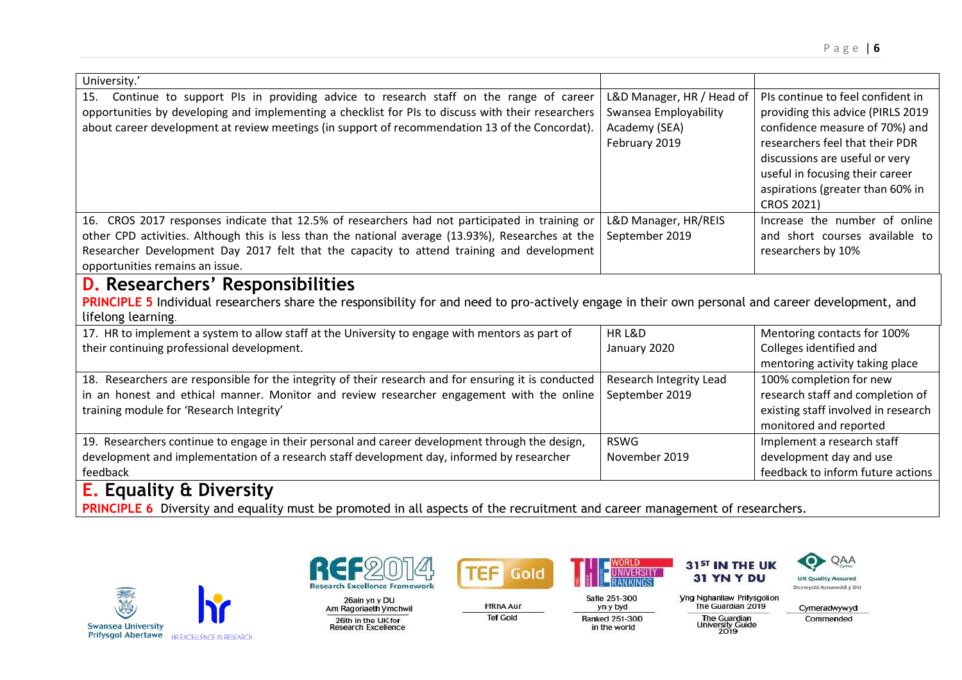| University.'                                                                                                                                                                                                                                                                                                                        |                                                                                      |                                                                                                                                                                                                                                                                           |
|-------------------------------------------------------------------------------------------------------------------------------------------------------------------------------------------------------------------------------------------------------------------------------------------------------------------------------------|--------------------------------------------------------------------------------------|---------------------------------------------------------------------------------------------------------------------------------------------------------------------------------------------------------------------------------------------------------------------------|
| Continue to support PIs in providing advice to research staff on the range of career<br>15.<br>opportunities by developing and implementing a checklist for PIs to discuss with their researchers<br>about career development at review meetings (in support of recommendation 13 of the Concordat).                                | L&D Manager, HR / Head of<br>Swansea Employability<br>Academy (SEA)<br>February 2019 | PIs continue to feel confident in<br>providing this advice (PIRLS 2019<br>confidence measure of 70%) and<br>researchers feel that their PDR<br>discussions are useful or very<br>useful in focusing their career<br>aspirations (greater than 60% in<br><b>CROS 2021)</b> |
| 16. CROS 2017 responses indicate that 12.5% of researchers had not participated in training or<br>other CPD activities. Although this is less than the national average (13.93%), Researches at the<br>Researcher Development Day 2017 felt that the capacity to attend training and development<br>opportunities remains an issue. | L&D Manager, HR/REIS<br>September 2019                                               | Increase the number of online<br>and short courses available to<br>researchers by 10%                                                                                                                                                                                     |
| <b>D.</b> Researchers' Responsibilities<br>PRINCIPLE 5 Individual researchers share the responsibility for and need to pro-actively engage in their own personal and career development, and<br>lifelong learning.                                                                                                                  |                                                                                      |                                                                                                                                                                                                                                                                           |
| 17. HR to implement a system to allow staff at the University to engage with mentors as part of<br>their continuing professional development.                                                                                                                                                                                       | HR L&D<br>January 2020                                                               | Mentoring contacts for 100%<br>Colleges identified and<br>mentoring activity taking place                                                                                                                                                                                 |
| 18. Researchers are responsible for the integrity of their research and for ensuring it is conducted<br>in an honest and ethical manner. Monitor and review researcher engagement with the online<br>training module for 'Research Integrity'                                                                                       | Research Integrity Lead<br>September 2019                                            | 100% completion for new<br>research staff and completion of<br>existing staff involved in research<br>monitored and reported                                                                                                                                              |
| 19. Researchers continue to engage in their personal and career development through the design,<br>development and implementation of a research staff development day, informed by researcher<br>feedback                                                                                                                           | <b>RSWG</b><br>November 2019                                                         | Implement a research staff<br>development day and use<br>feedback to inform future actions                                                                                                                                                                                |
| <b>E.</b> Equality & Diversity<br><b>PRINCIPLE 6</b> Diversity and equality must be promoted in all aspects of the recruitment and career management of researchers.                                                                                                                                                                |                                                                                      |                                                                                                                                                                                                                                                                           |





26ain yn y DU<br>Am Ragoriaeth Ymchwil 26th in the UK for<br>Research Excellence



**FfRhAAur** 

**Tef Gold** 



Safle 251-300

yn y byd

in the world

31<sup>ST</sup> IN THE UK 31 YN Y DU

**Yng Nghanllaw Prifysgolion<br>The Guardian 2019** Ranked 251-300

The Guardian<br>University Guide<br>2019



О

Commended

**UK Quality Assured** 

Sicrwydd Ansawdd y DU

QAA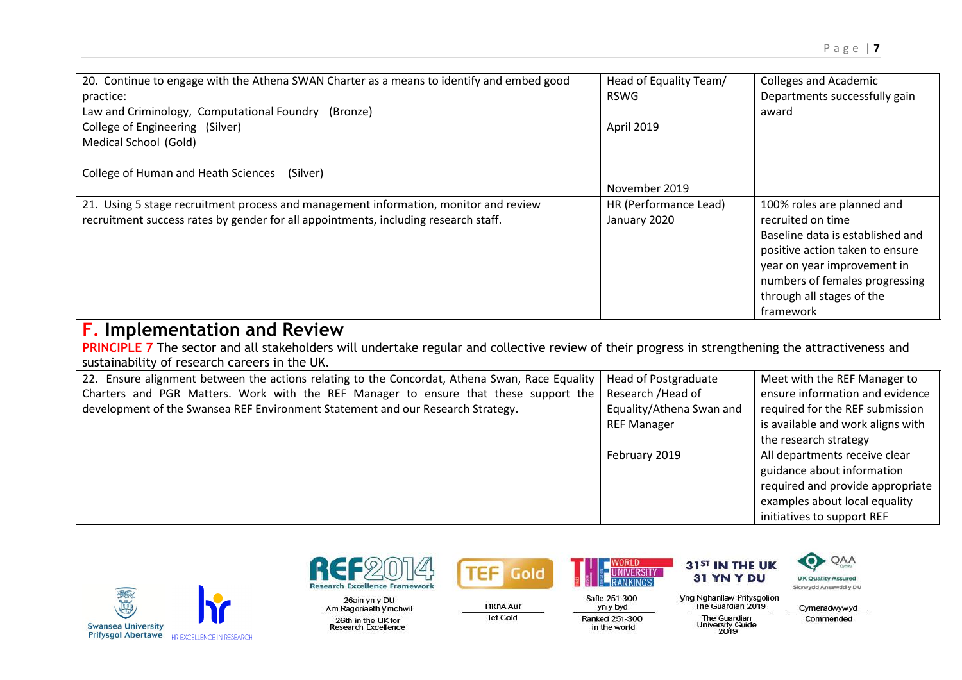| 20. Continue to engage with the Athena SWAN Charter as a means to identify and embed good<br>practice:<br>Law and Criminology, Computational Foundry (Bronze)<br>College of Engineering (Silver)<br>Medical School (Gold)                                                 | Head of Equality Team/<br><b>RSWG</b><br>April 2019                                                                  | <b>Colleges and Academic</b><br>Departments successfully gain<br>award                                                                                                                                                                                                                                                             |
|---------------------------------------------------------------------------------------------------------------------------------------------------------------------------------------------------------------------------------------------------------------------------|----------------------------------------------------------------------------------------------------------------------|------------------------------------------------------------------------------------------------------------------------------------------------------------------------------------------------------------------------------------------------------------------------------------------------------------------------------------|
| College of Human and Heath Sciences<br>(Silver)                                                                                                                                                                                                                           | November 2019                                                                                                        |                                                                                                                                                                                                                                                                                                                                    |
| 21. Using 5 stage recruitment process and management information, monitor and review<br>recruitment success rates by gender for all appointments, including research staff.                                                                                               | HR (Performance Lead)<br>January 2020                                                                                | 100% roles are planned and<br>recruited on time<br>Baseline data is established and<br>positive action taken to ensure<br>year on year improvement in<br>numbers of females progressing<br>through all stages of the<br>framework                                                                                                  |
| <b>F.</b> Implementation and Review<br>PRINCIPLE 7 The sector and all stakeholders will undertake regular and collective review of their progress in strengthening the attractiveness and<br>sustainability of research careers in the UK.                                |                                                                                                                      |                                                                                                                                                                                                                                                                                                                                    |
| 22. Ensure alignment between the actions relating to the Concordat, Athena Swan, Race Equality<br>Charters and PGR Matters. Work with the REF Manager to ensure that these support the<br>development of the Swansea REF Environment Statement and our Research Strategy. | <b>Head of Postgraduate</b><br>Research / Head of<br>Equality/Athena Swan and<br><b>REF Manager</b><br>February 2019 | Meet with the REF Manager to<br>ensure information and evidence<br>required for the REF submission<br>is available and work aligns with<br>the research strategy<br>All departments receive clear<br>guidance about information<br>required and provide appropriate<br>examples about local equality<br>initiatives to support REF |





26ain yn y DU<br>Am Ragoriaeth Ymchwil

26th in the UK for<br>Research Excellence



**FfRhAAur** 

**Tef Gold** 



Safle 251-300

yn y byd

Ranked 251-300

in the world

**UNIVERSITY** 

31<sup>ST</sup> IN THE UK 31 YN Y DU



Cymeradwywyd Commended

QAA

**Yng Nghanllaw Prifysgolion<br>The Guardian 2019** The Guardian<br>University Guide<br>2019